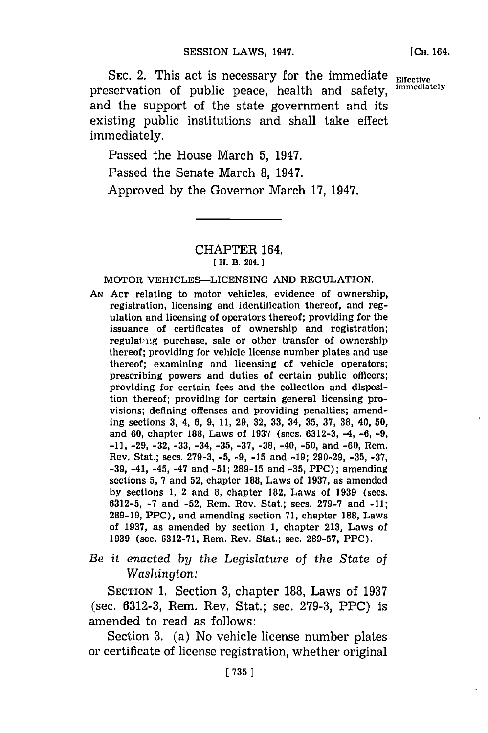[Cn. 164.

**SEC. 2. This act is necessary for the immediate Effective Instance Inc.** preservation of public peace, health and safety, and the support of the state government and its existing public institutions and shall take effect immediately.

Passed the House March **5,** 1947.

Passed the Senate March **8,** 1947.

Approved **by** the Governor March **17,** 1947.

# CHAPTER 164. **[ H.** B. **204.]1**

### MOTOR VEHICLES-LICENSING **AND REGULATION,**

*AN* **ACT** relating to motor vehicles, evidence of ownership, registration, licensing and identification thereof, and regulation and licensing of operators thereof; providing for the issuance of certificates of ownership and registration; regulating purchase, sale or other transfer of ownership thereof; providing for vehicle license number plates and use thereof; examining and licensing of vehicle operators; prescribing powers and duties of certain public officers; providing for certain fees and the collection and disposition thereof; providing for certain general licensing provisions; defining offenses and providing penalties; amending sections **3,** 4, **6, 9, 11, 29, 32, 33,** 34, **35, 37, 38,** 40, **50,** and **60,** chapter **188,** Laws of **1937** (secs. **6312-3,** -4, **-6, -9, -11, -29, -32, -33,** -34, **-35, -37, -38,** -40, **-50,** and **-60,** Rem. Rev. Stat.; secs. **279-3, -5, -9, -15** and **-19; 290-29, -35, -37, -39,** -41, -45, -47 and **-51; 289-15** and **-35,** PPC); amending sections **5, 7** and **52,** chapter **188,** Laws of **1937,** as amended **by** sections **1,** 2 and **8,** chapter 182, Laws of **1939** (secs. **6312-5, -7** and **-52,** Rem. Rev. Stat.; secs. **279-7** and **-11; 289-19,** PPC), and amending section **71,** chapter **188,** Laws of **1937,** as amended **by** section **1,** chapter **213,** Laws of **1939** (sec. **6312-71,** Rem. Rev. Stat.; sec. **289-57,** PPC).

*Be it enacted by the Legislature of the State of Washington:*

SECTION **1.** Section **3,** chapter **188,** Laws of **1937** (sec. **6312-3,** Rem. Rev. Stat.; sec. **279-3,** PPC) is amended to read as follows:

Section **3.** (a) No vehicle license number plates or certificate of license registration, whether original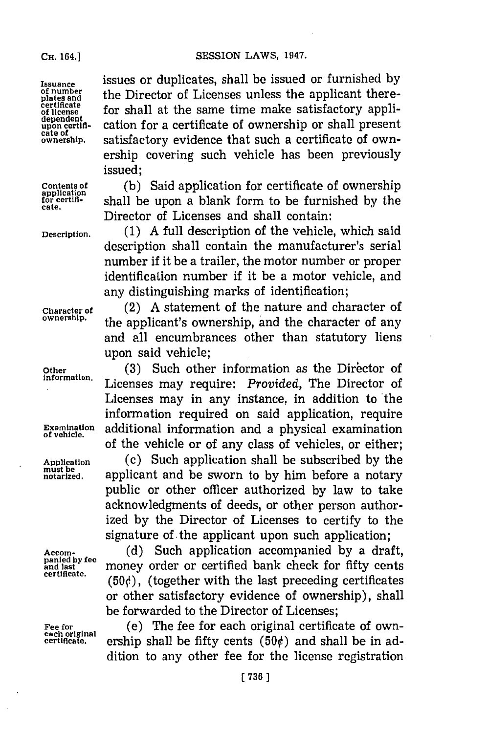#### **CH.** 164.1

SESSION LAWS, 1947.

plates and<br>certificate<br>of license

**cate.**

Issunce issues or duplicates, shall be issued or furnished **by** the Director of Licenses unless the applicant there**certificate for shall at the same time make satisfactory appli-**<br>dependent<br>upon certification for a certificate of ownership or shall present **upon certifi-** cation for a certificate of ownership or shall present **cate of ownership.** satisfactory evidence that such a certificate of ownership covering such vehicle has been previously issued;

Contents of (b) Said application for certificate of ownership<br>for certificate of shall be upon a blank form to be furnished by the shall be upon a blank form to be furnished by the Director of Licenses and shall contain:

**Description. (1) A** full description of the vehicle, which said description shall contain the manufacturer's serial number if it be a trailer, the motor number or proper identification number if it be a motor vehicle, and any distinguishing marks of identification;

**Character of** (2) **A** statement of the nature and character of **ownership.** the applicant's ownership, and the character of any and all encumbrances other than statutory liens upon said vehicle;

Other (3) Such other information as the Director of **information.** Licenses may require: *Provided,* The Director of Licenses may in any instance, in addition to 'the information required on said application, require **Examination** additional information and a physical examination of the vehicle or of any class of vehicles, or either;

**Application** (c) Such application shall be subscribed **by** the **must be notarized,** applicant and be sworn to **by** him before a notary public or other officer authorized **by** law to take acknowledgments of deeds, or other person authorized **by** the Director of Licenses to certify to the signature of the applicant upon such application;

Accom-<br>
panied by fee (d) Such application accompanied by a draft,<br>
and last<br>
certificate. **panted by companied by a draft**,<br>
certificate. **and last** money order or certified bank check for fifty cents  $(50<sub>c</sub>)$ , (together with the last preceding certificates or other satisfactory evidence of ownership), shall be forwarded to the Director of Licenses;

Fee for **Fee for** (e) The fee for each original certificate of own-<br>
each original ership shall be fifty cents (50¢) and shall be in adership shall be fifty cents  $(50¢)$  and shall be in addition to any other fee for the license registration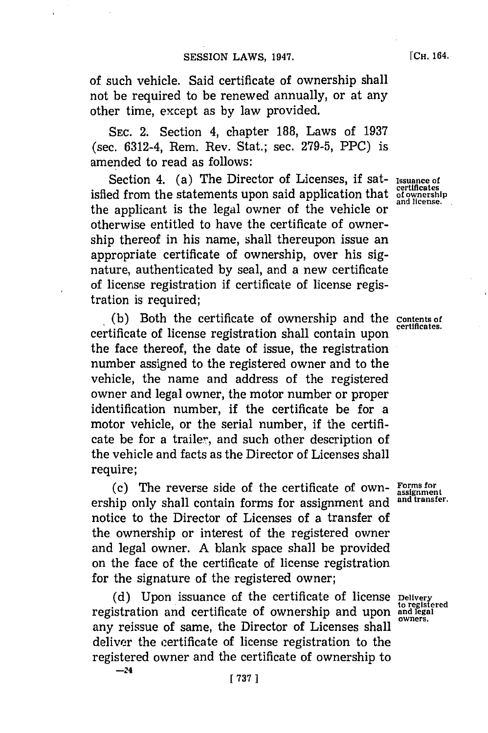of such vehicle. Said certificate of ownership shall not be required to be renewed annually, or at any other time, except as **by** law provided.

**SEC.** 2. Section 4, chapter **188,** Laws of **1937** (sec. 6312-4, Rem. Rev. Stat.; sec. **279-5,** PPC) is amended to read as follows:

**Section 4.** (a) The Director of Licenses, if sat- Issuance of isfied from the statements upon said application that **of onership** the applicant is the legal owner of the vehicle or  $\frac{and \, 10}{10}$ otherwise entitled to have the certificate of ownership thereof in his name, shall thereupon issue an appropriate certificate of ownership, over his signature, authenticated **by** seal, and a new certificate of license registration if certificate of license registration is required;

**I(b)** Both the certificate of ownership and the **Contents of** certificate of license registration shall contain upon the face thereof, the date of issue, the registration number assigned to the registered owner and to the vehicle, the name and address of the registered owner and legal owner, the motor number or proper identification number, if the certificate be for a motor vehicle, or the serial number, if the certificate be for a trailer, and such other description of the vehicle and facts as the Director of Licenses shall require;

**(c)** The reverse side of the certificate of own- **Forms for** ership only shall contain forms for assignment and notice to the Director of Licenses of a transfer of the ownership or interest of the registered owner and legal owner. **A** blank space shall be provided on the face of the certificate of license registration for the signature of the registered owner;

**(d)** Upon issuance of the certificate of license **Delivery** registration and certificate of ownership and upon **and legal** any reissue of same, the Director of Licenses shall owners. deliver the certificate of license registration to the registered owner and the certificate of ownership to

**assignment**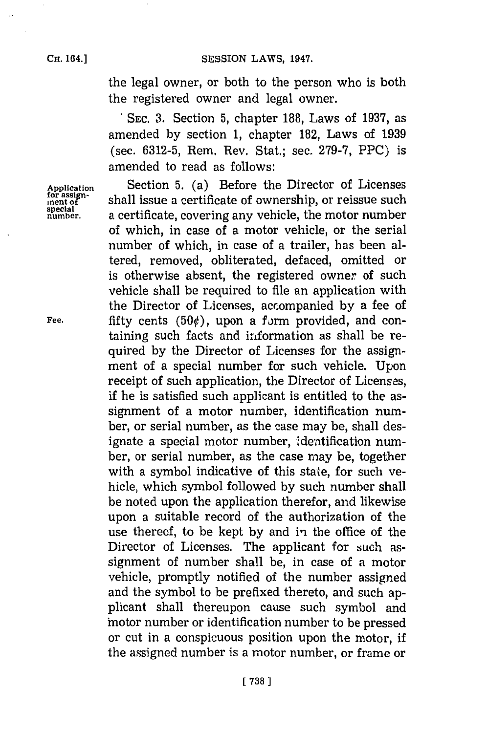the legal owner, or both to the person who is both the registered owner and legal owner.

**. SEC. 3.** Section **5,** chapter **188,** Laws of **1937,** as amended **by** section **1,** chapter **182,** Laws of **1939** (sec. **6312-5,** Rem. Rev. Stat.; sec. **279-7,** PPC) is amended to read as follows:

**Aplication** Section **5.** (a) Before the Director of Licenses for assign-<br>ment of **included** shall issue a certificate of ownership, or reissue such<br>special **special number,** a certificate, covering any vehicle, the motor number of which, in case of a motor vehicle, or the serial number of which, in case of a trailer, has been altered, removed, obliterated, defaced, omitted or is otherwise absent, the registered owner of such vehicle shall be required to file an application with the Director of Licenses, accompanied **by** a fee of Fee.  $\qquad$  fifty cents  $(50¢)$ , upon a form provided, and containing such facts and information as shall be required **by** the Director of Licenses for the assignment of a special number for such vehicle. Upon receipt of such application, the Director of Licenses, if he is satisfied such applicant is entitled to the assignment of a motor number, identification number, or serial number, as the case may be, shall designate a special motor number, identification number, or serial number, as the case may be, together with a symbol indicative of this state, for such vehicle, which symbol followed **by** such number shall be noted upon the application therefor, and likewise upon a suitable record of the authorization of the use thereof, to be kept **by** and in the office of the Director of Licenses. The applicant for such assignment of number shall be, in case of a motor vehicle, promptly notified of the number assigned and the symbol to be prefixed thereto, and such applicant shall thereupon cause such symbol and 'motor number or identification number to be pressed or cut in a conspicuous position upon the motor, if the assigned number is a motor number, or frame or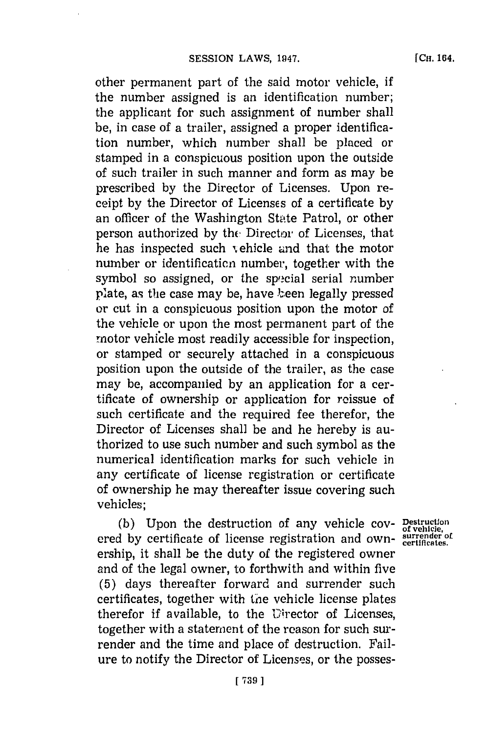**[CH.** 164.

other permanent part of the said motor vehicle, if the number assigned is an identification number; the applicant for such assignment of number shall be, in case of a trailer, assigned a proper identification number, which number shall be placed or stamped in a conspicuous position upon the outside of such trailer in such manner and form as may be prescribed **by** the Director of Licenses. Upon receipt **by** the Director of Licenses of a certificate **by** an officer of the Washington State Patrol, or other person authorized **by** thc Director of Licenses, that he has inspected such vehicle and that the motor number or identificaticn number, together with the symbol so assigned, or the special serial number plate, as the case may be, have been legally pressed or cut in a conspicuous position upon the motor of the vehicle or upon the most permanent part of the motor vehicle most readily accessible for inspection. or stamped or securely attached in a conspicuous position upon the outside of the trailer, as the case may be, accompanied **by** an application for a certificate of ownership or application for reissue of such certificate and the required fee therefor, the Director of Licenses shall be and he hereby is authorized to use such number and such symbol as the numerical identification marks for such vehicle in any certificate of license registration or certificate of ownership he may thereafter issue covering such vehicles;

(b) Upon the destruction of any vehicle cov- Destruction ered by certificate of license registration and ownership, it shall be the duty of the registered owner and of the legal owner, to forthwith and within five **(5)** days thereafter forward and surrender such certificates, together with the vehicle license plates therefor if available, to the Uirector of Licenses, together with a statement of the reason for such surrender and the time and place of destruction. Failure to notify the Director of Licenses, or the posses-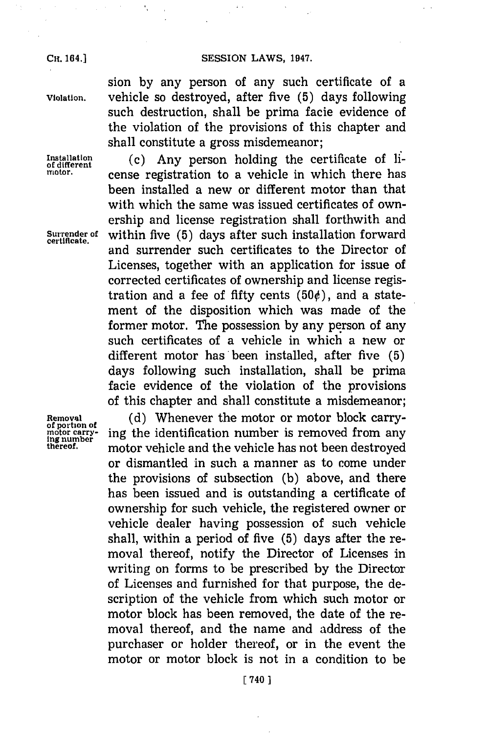### **Cit 64.]SESSION LAWS, 1947.**

 $\bar{z}$  .

**CH.** 164.]

×,

sion **by** any person of any such certificate of a **Violation.** vehicle so destroyed, after five **(5)** days following such destruction, shall be prima facie evidence of the violation of the provisions of this chapter and shall constitute a gross misdemeanor;

**Installation** (c) Any person holding the certificate of li-<br>motor. <br>cense registration to a vehicle in which there has been installed a new or different motor than that with which the same was issued certificates of ownership and license registration shall forthwith and **Surrender of** within five **(5)** days after such installation forward **certificate.** and surrender such certificates to the Director of Licenses, together with an application for issue of corrected certificates of ownership and license registration and a fee of fifty cents  $(50¢)$ , and a statement of the disposition which was made of the former motor. The possession **by** any person of any such certificates of a vehicle in which a new or different motor has been installed, after five **(5)** days following such installation, shall be prima facie evidence of the violation of the provisions of this chapter and shall constitute a misdemeanor;

Removal (d) Whenever the motor or motor block carry-<br>of portion of **EXECUTE:** ing the identification number is removed from any ing number<br>Ing number<br>thereof, **including motor vehicle and the vehicle has not been destroyed** or dismantled in such a manner as to come under the provisions of subsection **(b)** above, and there has been issued and is outstanding a certificate of ownership for such vehicle, the registered owner or vehicle dealer having possession of such vehicle shall, within a period of five **(5)** days after the removal thereof, notify the Director of Licenses in writing on forms to be prescribed **by** the Director of Licenses and furnished for that purpose, the description of the vehicle from which such motor or motor block has been removed, the date of the removal thereof, and the name and address of the purchaser or holder thereof, or in the event the motor or motor block is not in a condition to be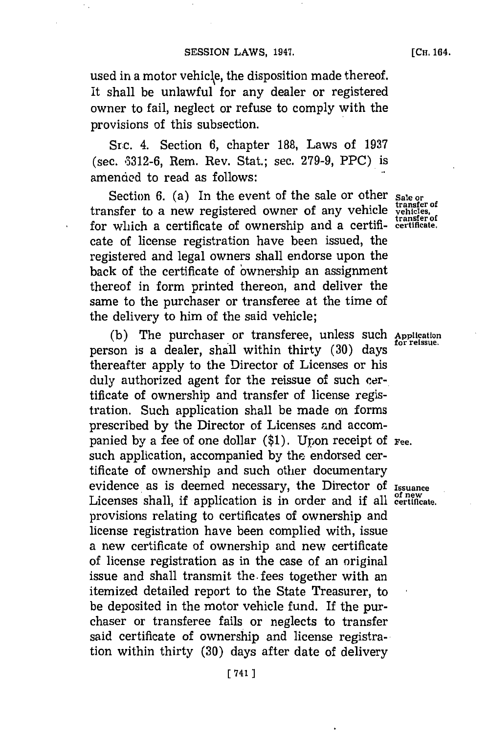used in a motor vehicle, the disposition made thereof. It shall be unlawful for any dealer or registered owner to fail, neglect or refuse to comply with the provisions of this subsection.

Src. 4. Section **6,** chapter **188,** Laws of **1937** (sec. **A:)312-6,** Rem. Rev. Stat.; sec. **279-9,** PPC) is amended to read as follows:

Section 6. (a) In the event of the sale or other **Sale or transfer** of transfer to a new registered owner of any vehicle **vehicles** for which a certificate of ownership and a certifi- **certificate.** cate of license registration have been issued, the registered and legal owners shall endorse upon the back of the certificate of 'ownership an assignment thereof in form printed thereon, and deliver the same to the purchaser or transferee at the time of the delivery to him of the said vehicle;

(b) The purchaser or transferee, unless such Application person is a dealer, shall within thirty (30) days thereafter apply to the Director of Licenses or his duly authorized agent for the reissue of such certificate of ownership and transfer of license registration. Such application shall be made on forms prescribed **by** the Director of Licenses and accompanied **by** a fee of one dollar **(\$1).** Upon receipt of **Fee.** such application, accompanied **by** the endorsed certificate of ownership and such other documentary evidence as is deemed necessary, the Director of Issuance Licenses shall, if application is in order and if all **certificate**. provisions relating to certificates of ownership and license registration have been complied with, issue a new certificate of ownership and new certificate of license registration as in the case of an original issue and shall transmit the. fees together with an itemized detailed report to the State Treasurer, to be deposited in the motor vehicle fund. If the purchaser or transferee fails or neglects to transfer said certificate of ownership and license registration within thirty **(30)** days after date of delivery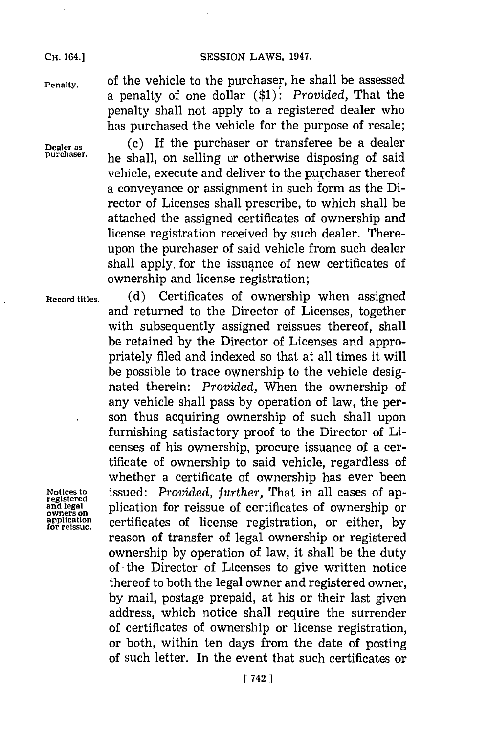**CH.** 164.]

**Penalty.** of the vehicle to the purchaser, he shall be assessed a penalty of one dollar **(\$1):** *Provided,* That the penalty shall not apply to a registered dealer who has purchased the vehicle for the purpose of resale;

**Dealer as (c)** If the purchaser or transferee be a dealer **purchaser,** he shall, on selling ur otherwise disposing of said vehicle, execute and deliver to the purchaser thereof a conveyance or assignment in such form as the Director of Licenses shall prescribe, to which shall be attached the assigned certificates of ownership and license registration received **by** such dealer. Thereupon the purchaser of said vehicle from such dealer shall apply, for the issuance of new certificates of ownership and license registration;

**Record titles. (d)** Certificates of ownership when assigned and returned to the Director of Licenses, together with subsequently assigned reissues thereof, shall be retained **by** the Director of Licenses and appropriately filed and indexed so that at all times it will be possible to trace ownership to the vehicle designated therein: *Provided,* When the ownership of any vehicle shall pass **by** operation of law, the person thus acquiring ownership of such shall upon furnishing satisfactory proof to the Director of Licenses of his ownership, procure issuance of a certificate of ownership to said vehicle, regardless of whether a certificate of ownership has ever been Motices to **issued:** *Provided, further,* That in all cases of ap-<br>
and legal plication for reissue of certificates of ownership or<br>
application certificates of license registration, or either, by<br>
for reissue. *f* certificates of license registration, or either, by reason of transfer of legal ownership or registered ownership **by** operation of law, it shall be the duty of **-**the Director of Licenses to give written notice thereof to both the legal owner and registered owner, **by** mail, postage prepaid, at his or their last given address, which notice shall require the surrender of certificates of ownership or license registration, or both, within ten days from the date of posting of such letter. In the event that such certificates or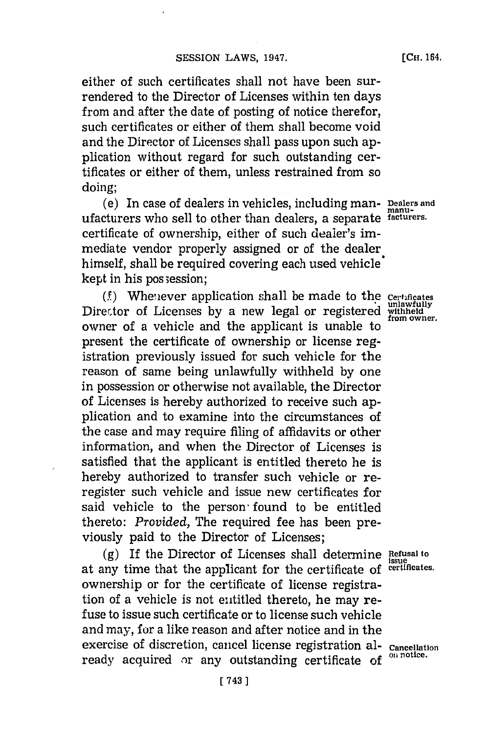either of such certificates shall not have been surrendered to the Director of Licenses within ten days from and after the date of posting of notice therefor, such certificates or either of them shall become void and the Director of Licenses shall pass upon such application without regard for such outstanding certificates or either of them, unless restrained from so doing;

(e) In case of dealers in vehicles, including man- **Dealers and rnanu**ufacturers who sell to other than dealers, a separate **facturers.** certificate of ownership, either of such dealer's immediate vendor properly assigned or of the dealer himself, shall be required covering each used vehicle kept in his pos session;

(.)Whe'iever application shall be made to the **Certficates** Director of Licenses by a new legal or registered withheld<br>owner of a vehicle and the applicant is unable to present the certificate of ownership or license registration previously issued for such vehicle for the reason of same being unlawfully withheld **by** one in possession or otherwise not available, the Director of Licenses is hereby authorized to receive such application and to examine into the circumstances of the case and may require filing of affidavits or other information, and when the Director of Licenses is satisfied that the applicant is entitled thereto he is hereby authorized to transfer such vehicle or reregister such vehicle and issue new certificates for said vehicle to the person found to be entitled thereto: *Provided,* The required fee has been previously paid to the Director of Licenses;

**(g)** If the Director of Licenses shall determine **Refsal to** at any time that the applicant for the certificate of **certificates.** ownership or for the certificate of license registration of a vehicle is not entitled thereto, he may refuse to issue such certificate or to license such vehicle and may, for a like reason and after notice and in the exercise of discretion, cancel license registration al-<br>ready acquired ar any outstanding contification on potice. ready acquired or any outstanding certificate of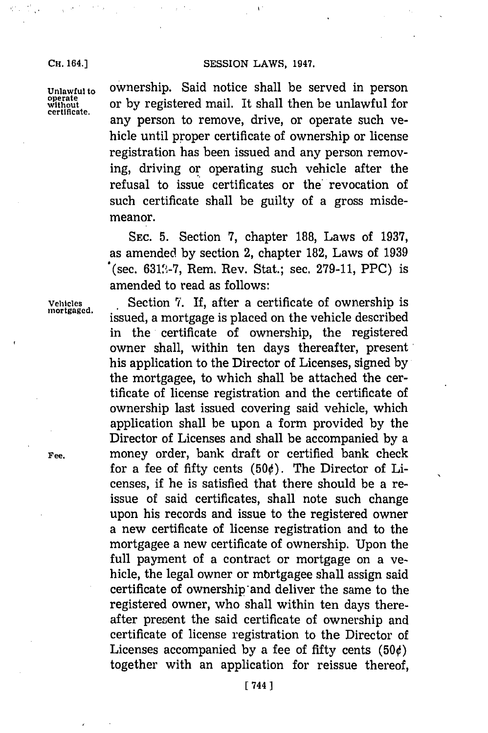Unlawful to OWNership. Said notice shall be served in person<br>operate or by registered mail. It shall then be unlawful for<br>certificate. **operat** or **by** registered mail. It shall then be unlawful for any person to remove, drive, or operate such vehicle until proper certificate of ownership or license registration has been issued and any person removing, driving or operating such vehicle after the refusal to issue certificates or the revocation of such certificate shall be guilty of a gross misdemeanor.

> **SEC. 5.** Section **7,** chapter **188,** Laws of **1937,** as amended **by** section 2, chapter **182,** Laws of **1939** (sec. **631",-7,** Rem. Rev. Stat.; sec. **279-11,** PPC) is amended to read as follows:

Vehicles **Section 7.** If, after a certificate of ownership is mortgaged. issued, a mortgage is placed on the vehicle described in the certificate of ownership, the registered owner shall, within ten days thereafter, present his application to the Director of Licenses, signed **by** the mortgagee, to which shall be attached the certificate of license registration and the certificate of ownership last issued covering said vehicle, which application shall be upon a form provided **by** the Director of Licenses and shall be accompanied **by** a **Fee,** money order, bank draft or certified bank check for a fee of fifty cents  $(50¢)$ . The Director of Licenses, if he is satisfied that there should be a reissue of said certificates, shall note such change upon his records and issue to the registered owner a new certificate of license registration and to the mortgagee a new certificate of ownership. Upon the full payment of a contract or mortgage on a vehicle, the legal owner or mbrtgagee shall assign said certificate of ownership and deliver the same to the registered owner, who shall within ten days thereafter present the said certificate of ownership and certificate of license registration to the Director of Licenses accompanied by a fee of fifty cents  $(50¢)$ together with an application for reissue thereof,

éh.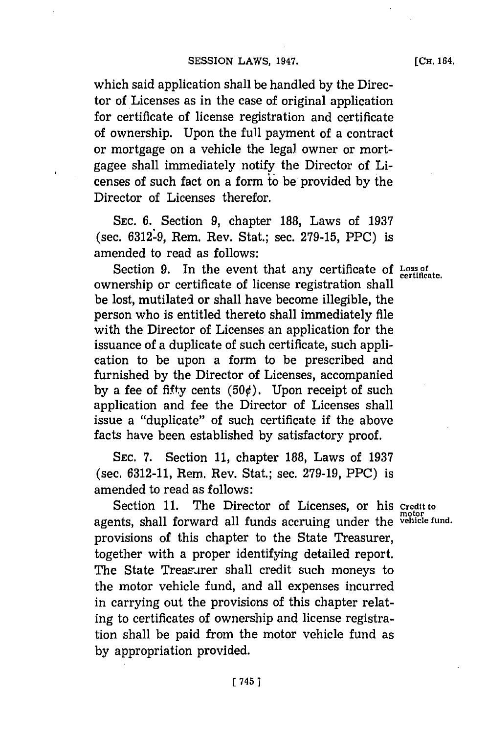**[CH.** 164.

which said application shall be handled **by** the Director of Licenses as in the case of original application for certificate of license registration and certificate of ownership. Upon the full payment of a contract or mortgage on a vehicle the legal owner or mortgagee shall immediately notify the Director of Licenses of such fact on a form to be'provided **by** the Director of Licenses therefor.

**SEC. 6.** Section **9,** chapter **188,** Laws of **1937** (sec. **6312:9,** Rem. Rev. Stat.; sec. **279-15,** PPC) is amended to read as follows:

Section **9.** In the event that any certificate **of Loss of certificate.** ownership or certificate of license registration shall be lost, mutilated or shall have become illegible, the person who is entitled thereto shall immediately file with the Director of Licenses an application for the issuance of a duplicate of such certificate, such application to be upon a form to be prescribed and furnished **by** the Director of Licenses, accompanied by a fee of fifty cents  $(50¢)$ . Upon receipt of such application and fee the Director of Licenses shall issue a "duplicate" of such certificate if the above facts have been established **by** satisfactory proof.

**SEC. 7.** Section **11,** chapter **188,** Laws of **1937** (sec. **6312-11,** Rem. Rev. Stat.; sec. **279-19,** PPC) is amended to read as follows:

Section **11.** The Director of Licenses, or his **credit to motor** agents, shall forward all funds accruing under the **vehicle fund.** provisions of this chapter to the State Treasurer, together with a proper identifying detailed report. The State Treasurer shall credit such moneys to the motor vehicle fund, and all expenses incurred in carrying out the provisions of this chapter relating to certificates of ownership and license registration shall be paid from the motor vehicle fund as **by** appropriation provided.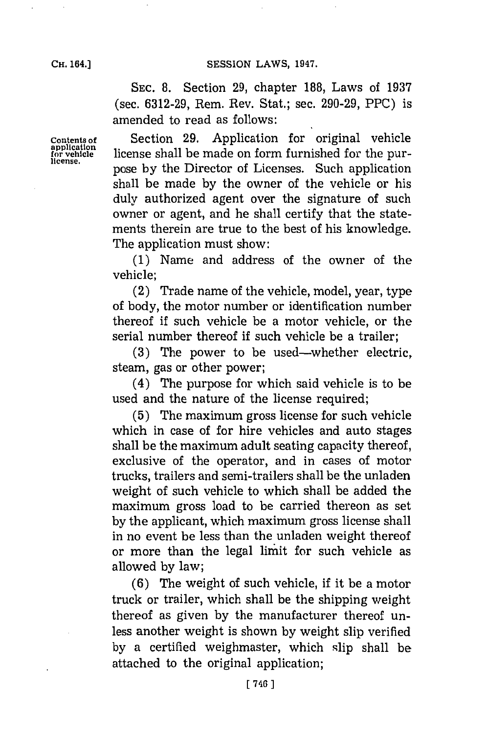**SEC. 8.** Section **29,** chapter **188,** Laws of **1937** (sec. **6312-29,** Rem. Rev. Stat.; sec. **290-29,** PPC) is amended to read as follows:

**Contents of** Section **29.** Application for original vehicle **appliCation for vehicle** license shall be made on form furnished for the purpose by the Director of Licenses. Such application shall be made **by** the owner of the vehicle or his duly authorized agent over the signature of such owner or agent, and he shall certify that the statements therein are true to the best of his knowledge. The application must show:

> **(1)** Name and address of the owner of the vehicle;

> (2) Trade name of the vehicle, model, year, type of body, the motor number or identification number thereof if such vehicle be a motor vehicle, or the serial number thereof if such vehicle be a trailer;

> **(3)** The power to be used-whether electric, steam, gas or other power;

> (4) The purpose for which said vehicle is to be used and the nature of the license required;

> **(5)** The maximum gross license for such vehicle which in case of for hire vehicles and auto stages shall be the maximum adult seating capacity thereof, exclusive of the operator, and in cases of motor trucks, trailers and semi-trailers shall be the unladen weight of such vehicle to which shall be added the maximum gross load to be carried thereon as set **by** the applicant, which maximum gross license shall in no event be less than the unladen weight thereof or more than the legal limit for such vehicle as allowed **by** law;

> **(6)** The weight of such vehicle, if it be a motor truck or trailer, which shall be the shipping weight thereof as given **by** the manufacturer thereof unless another weight is shown **by** weight slip verified **by** a certified weighmaster, which slip shall be attached to the original application;

**CH.** 164.]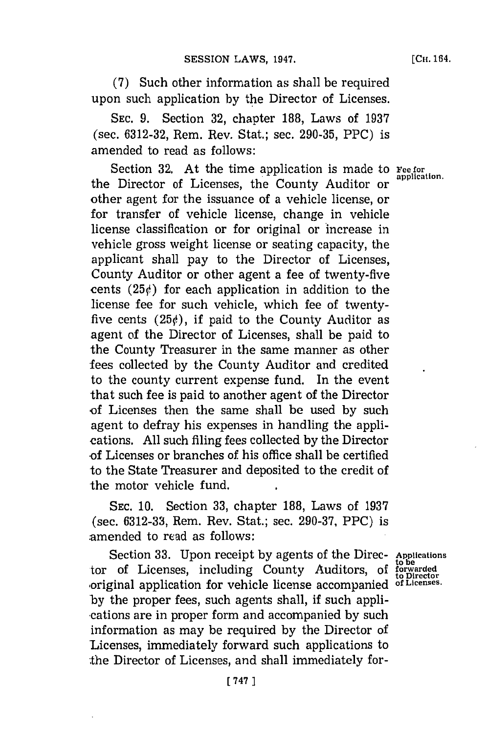**(7)** Such other information as shall be required upon such application **by** the Director of Licenses.

**SEC. 9.** Section **32,** chapter **188,** Laws of **1937** (sec. **6312-32,** Rem. Rev. Stat.; sec. **290-35,** PPC) is amended to read as follows:

Section 32. At the time application is made to **Fee for** application. the Director of Licenses, the County Auditor or other agent for the issuance of a vehicle license, or for transfer of vehicle license, change in vehicle license classification or for original or increase in vehicle gross weight license or seating capacity, the applicant shall pay to the Director of Licenses, County Auditor or other agent a fee of twenty-five cents  $(25\psi)$  for each application in addition to the license fee for such vehicle, which fee of twentyfive cents  $(25)$ , if paid to the County Auditor as agent of the Director of Licenses, shall be paid to the County Treasurer in the same manner as other fees collected **by** the County Auditor and credited to the county current expense fund. In the event that such fee is paid to another agent of the Director -of Licenses then the same shall be used **by** such agent to defray his expenses in handling the applications. **All** such filing fees collected **by** the Director of Licenses or branches of his office shall be certified to the State Treasurer and deposited to the credit of the motor vehicle fund.

**SEC. 10.** Section **33,** chapter **188,** Laws of **1937** (sec. **6312-33,** Rem. Rev. Stat.; sec. **290-37,** PPC) is -amended to read as follows:

Section **33.** Upon receipt **by** agents of the Direc- **Applications** tor of Licenses, including County Auditors, of forwarded ,original application for vehicle license accompanied **of Licenses. by** the proper fees, such agents shall, if such appli- \*cations are in proper form and accompanied **by** such information as may be required **by** the Director of Licenses, immediately forward such applications to the Director of Licenses, and shall immediately for-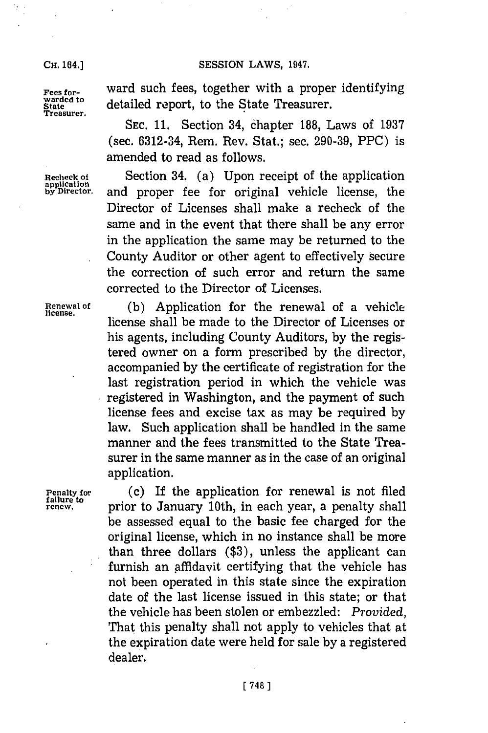**CH.** 164.)

**Treasurer.**

**Fees for-** ward such fees, together with a proper identifying warded to detailed report, to the State Treasurer. detailed report, to the State Treasurer.

> **SEC. 11.** Section 34, Chapter **188,** Laws of **1937** (sec. 6312-34, Rem. Rev. Stat.; sec. **290-39,** PPC) is amended to read as follows.

Recheck of Section 34. (a) Upon receipt of the application **application by Director**. and proper fee for original vehicle license, the Director of Licenses shall make a recheck of the same and in the event that there shall be any error in the application the same may be returned to the County Auditor or other agent to effectively secure the correction of such error and return the same corrected to the Director of Licenses.

**Renewal of (b)** Application for the renewal of a vehicle license shall be made to the Director of Licenses or his agents, including County Auditors, **by** the registered owner on a form prescribed **by** the director, accompanied **by** the certificate of registration for the last registration period in which the vehicle was registered in Washington, and the payment of such license fees and excise tax as may be required **by** law. Such application shall be handled in the same manner and the fees transmitted to the State Treasurer in the same manner as in the case of an original application.

**Penalty for** (c) If the application for renewal is not filed<br>failure to satisfact the Laurence 10th in each open a negative shall **tailure to prior to January 10th, in each year, a penalty shall** be assessed equal to the basic fee charged for the original license, which in no instance shall be more than three dollars **(\$3),** unless the applicant can furnish an affidavit certifying that the vehicle has not been operated in this state since the expiration date of the last license issued in this state; or that the vehicle has been stolen or embezzled: *Provided,* That this penalty shall not apply to vehicles that at the expiration date were held for sale **by** a registered dealer.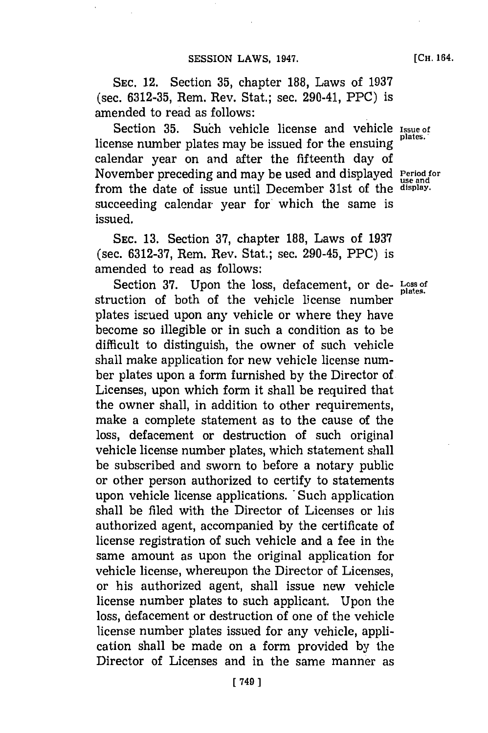**SEC.** 12. Section **35,** chapter **188,** Laws of **1937** (sec. **6312-35,** Rem. Rev. Stat.; sec. 290-41, PPC) is amended to read as follows:

Section **35.** Such vehicle license and vehicle **issue of** license number plates may be issued for the ensuing calendar year on and after the fifteenth day of November preceding and may be used and displayed **Period for use and** from the date of issue until December 31st of the **display.** succeeding calendar year for which the same is issued.

**SEC. 13.** Section **37,** chapter **188,** Laws of **1937** (sec. **6312-37,** Rem. Rev. Stat.; sec. 290-45, PPC) is amended to read as follows:

Section **37.** Upon the loss, defacement, or de- **Loss of** struction of both of the vehicle license number plates issued upon any vehicle or where they have become so illegible or in such a condition as to be difficult to distinguish, the owner of such vehicle shall make application for new vehicle license number plates upon a form furnished **by** the Director of Licenses, upon which form it shall be required that the owner shall, in addition to other requirements, make a complete statement as to the cause of the loss, defacement or destruction of such original vehicle license number plates, which statement shall be subscribed and sworn to before a notary public or other person authorized to certify to statements upon vehicle license applications. 'Such application shall be filed with the Director of Licenses or his authorized agent, accompanied **by** the certificate of license registration of such vehicle and a fee in the same amount as upon the original application for vehicle license, whereupon the Director of Licenses, or his authorized agent, shall issue new vehicle license number plates to such applicant. Upon the loss, defacement or destruction of one of the vehicle license number plates issued for any vehicle, application shall be made on a form provided **by** the Director of Licenses and in the same manner as

**[CH.** 164.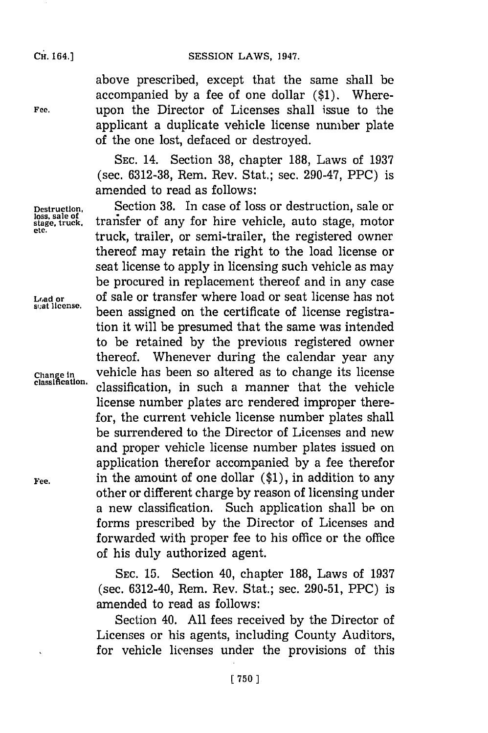above prescribed, except that the same shall be accompanied **by** a fee of one dollar **(\$1).** Where-Fee. **upon the Director of Licenses shall issue to the** applicant a duplicate vehicle license number plate of the one lost, defaced or destroyed.

> **SEC.** 14. Section **38,** chapter **188,** Laws of **1937** (sec. **6312-38,** Rem. Rev. Stat.; sec. 290-47, PPC) is amended to read as follows:

**Destruction,** Section **38.** In case of loss or destruction, sale or loss, sale of<br>stage, truck, transfer of any for hire vehicle, auto stage, motor truck, trailer, or semi-trailer, the registered owner thereof may retain the right to the load license or seat license to apply in licensing such vehicle as may be procured in replacement thereof and in any case **Load or of sale or transfer where load or seat license has not** scat license. been assigned on the certificate of license registration it will be presumed that the same was intended to be retained **by** the previous registered owner thereof. Whenever during the calendar year any **chiange in** vehicle has been so altered as to change its license classification, in such a manner that the vehicle license number plates arc rendered improper therefor, the current vehicle license number plates shall be surrendered to the Director of Licenses and new and proper vehicle license number plates issued on application therefor accompanied **by** a fee therefor **Fee,** in the amount of one dollar **(\$1),** in addition to any other or different charge **by** reason of licensing under a new classification. Such application shall **be** on forms prescribed **by** the Director of Licenses and forwarded with proper fee to his office or the office of his duly authorized agent.

> **SEC. 15.** Section 40, chapter **188,** Laws of **1937** (sec. 6312-40, Rem. Rev. Stat.; sec. **290-51,** PPC) is amended to read as follows:

> Section 40. **All** fees received **by** the Director of Licenses or his agents, including County Auditors, for vehicle licenses under the provisions of this

**loss, sale of**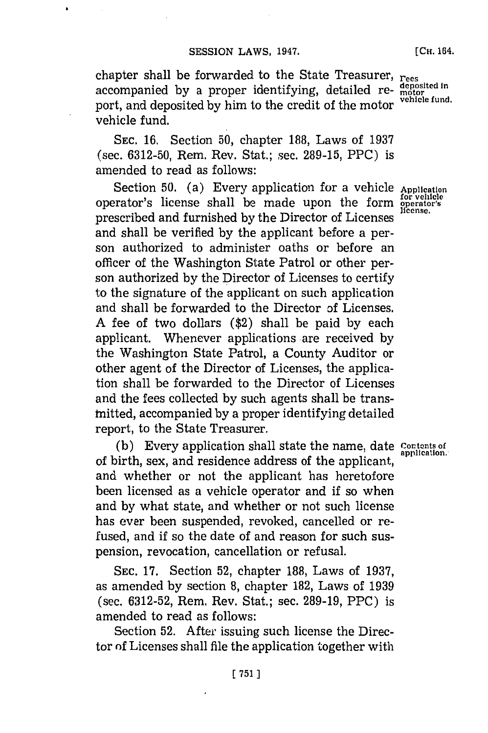chapter shall be forwarded to the State Treasurer, **rees** chapter share by a proper identifying, detailed re- **deposited** in accompanied by a proper identifying, detailed report, and deposited by him to the credit of the motor vehicle fund.

**SEC. 16.** Section **50,** chapter **188,** Laws of **1937** (sec. **6312-50,** Rem. Rev. Stat.; sec. **289-15,** PPC) is amended to read as follows:

Section **50.** (a) Every application for a vehicle **Application** operator's license shall be made upon the form **operator's** prescribed and furnished **by** the Director of Licenses **license.** and shall be verified **by** the applicant before a person authorized to administer oaths or before an officer of the Washington State Patrol or other person authorized **by** the Director of Licenses to certify to the signature of the applicant on such application and shall be forwarded to the Director **of** Licenses. **A** fee of two dollars (\$2) shall be paid **by** each applicant. Whenever applications are received **by** the Washington State Patrol, a County Auditor or other agent of the Director of Licenses, the application shall be forwarded to the Director of Licenses and the fees collected **by** such agents shall be transtnitted, accompanied **by** a proper identifying detailed report, to the State Treasurer.

(b) Every application shall state the name, date **Contents of** application. of birth, sex, and residence address of the applicant, and whether or not the applicant has heretofore been licensed as a vehicle operator and if so when and **by** what state, and whether or not such license has ever been suspended, revoked, cancelled or refused, and if so the date of and reason for such suspension, revocation, cancellation or refusal.

**SEC. 17.** Section **52,** chapter **188,** Laws of **1937,** as amended **by** section **8,** chapter **182,** Laws of **1939** (sec. **6312-52,** Rem. Rev. Stat.; sec. **289-19,** PPC) is amended to read as follows:

Section **52.** After issuing such license the Director **of** Licenses shall file the application together with